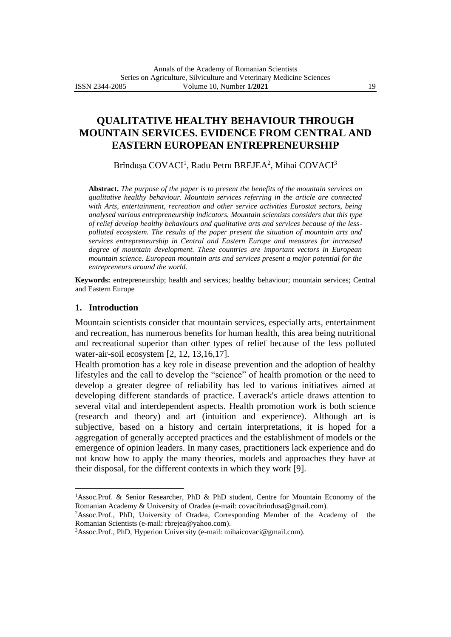# **QUALITATIVE HEALTHY BEHAVIOUR THROUGH MOUNTAIN SERVICES. EVIDENCE FROM CENTRAL AND EASTERN EUROPEAN ENTREPRENEURSHIP**

Brîndușa COVACI<sup>1</sup>, Radu Petru BREJEA<sup>2</sup>, Mihai COVACI<sup>3</sup>

**Abstract.** *The purpose of the paper is to present the benefits of the mountain services on qualitative healthy behaviour. Mountain services referring in the article are connected with Arts, entertainment, recreation and other service activities Eurostat sectors, being analysed various entrepreneurship indicators. Mountain scientists considers that this type of relief develop healthy behaviours and qualitative arts and services because of the lesspolluted ecosystem. The results of the paper present the situation of mountain arts and services entrepreneurship in Central and Eastern Europe and measures for increased degree of mountain development. These countries are important vectors in European mountain science. European mountain arts and services present a major potential for the entrepreneurs around the world.*

**Keywords:** entrepreneurship; health and services; healthy behaviour; mountain services; Central and Eastern Europe

### **1. Introduction**

Mountain scientists consider that mountain services, especially arts, entertainment and recreation, has numerous benefits for human health, this area being nutritional and recreational superior than other types of relief because of the less polluted water-air-soil ecosystem [2, 12, 13,16,17].

Health promotion has a key role in disease prevention and the adoption of healthy lifestyles and the call to develop the "science" of health promotion or the need to develop a greater degree of reliability has led to various initiatives aimed at developing different standards of practice. Laverack's article draws attention to several vital and interdependent aspects. Health promotion work is both science (research and theory) and art (intuition and experience). Although art is subjective, based on a history and certain interpretations, it is hoped for a aggregation of generally accepted practices and the establishment of models or the emergence of opinion leaders. In many cases, practitioners lack experience and do not know how to apply the many theories, models and approaches they have at their disposal, for the different contexts in which they work [9].

<sup>2</sup>Assoc.Prof., PhD, University of Oradea, Corresponding Member of the Academy of the Romanian Scientists (e-mail: rbrejea@yahoo.com).

<sup>1</sup>Assoc.Prof. & Senior Researcher, PhD & PhD student, Centre for Mountain Economy of the Romanian Academy & University of Oradea (e-mail: covacibrindusa@gmail.com).

<sup>3</sup>Assoc.Prof., PhD, Hyperion University (e-mail: mihaicovaci@gmail.com).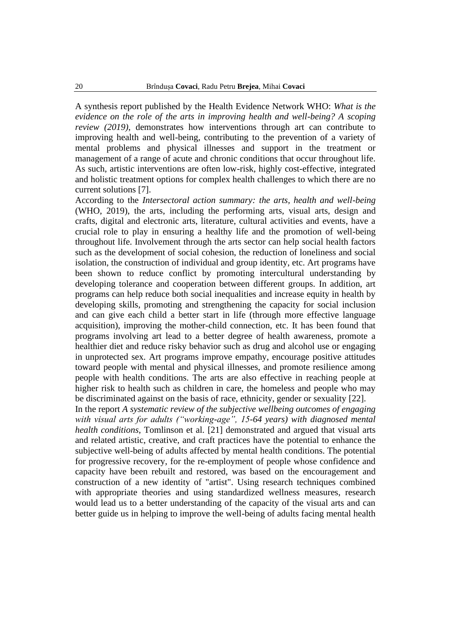A synthesis report published by the Health Evidence Network WHO: *What is the evidence on the role of the arts in improving health and well-being? A scoping review (2019)*, demonstrates how interventions through art can contribute to improving health and well-being, contributing to the prevention of a variety of mental problems and physical illnesses and support in the treatment or management of a range of acute and chronic conditions that occur throughout life. As such, artistic interventions are often low-risk, highly cost-effective, integrated and holistic treatment options for complex health challenges to which there are no current solutions [7].

According to the *Intersectoral action summary: the arts, health and well-being*  (WHO, 2019), the arts, including the performing arts, visual arts, design and crafts, digital and electronic arts, literature, cultural activities and events, have a crucial role to play in ensuring a healthy life and the promotion of well-being throughout life. Involvement through the arts sector can help social health factors such as the development of social cohesion, the reduction of loneliness and social isolation, the construction of individual and group identity, etc. Art programs have been shown to reduce conflict by promoting intercultural understanding by developing tolerance and cooperation between different groups. In addition, art programs can help reduce both social inequalities and increase equity in health by developing skills, promoting and strengthening the capacity for social inclusion and can give each child a better start in life (through more effective language acquisition), improving the mother-child connection, etc. It has been found that programs involving art lead to a better degree of health awareness, promote a healthier diet and reduce risky behavior such as drug and alcohol use or engaging in unprotected sex. Art programs improve empathy, encourage positive attitudes toward people with mental and physical illnesses, and promote resilience among people with health conditions. The arts are also effective in reaching people at higher risk to health such as children in care, the homeless and people who may be discriminated against on the basis of race, ethnicity, gender or sexuality [22].

In the report *A systematic review of the subjective wellbeing outcomes of engaging with visual arts for adults ("working-age", 15-64 years) with diagnosed mental health conditions*, Tomlinson et al. [21] demonstrated and argued that visual arts and related artistic, creative, and craft practices have the potential to enhance the subjective well-being of adults affected by mental health conditions. The potential for progressive recovery, for the re-employment of people whose confidence and capacity have been rebuilt and restored, was based on the encouragement and construction of a new identity of "artist". Using research techniques combined with appropriate theories and using standardized wellness measures, research would lead us to a better understanding of the capacity of the visual arts and can better guide us in helping to improve the well-being of adults facing mental health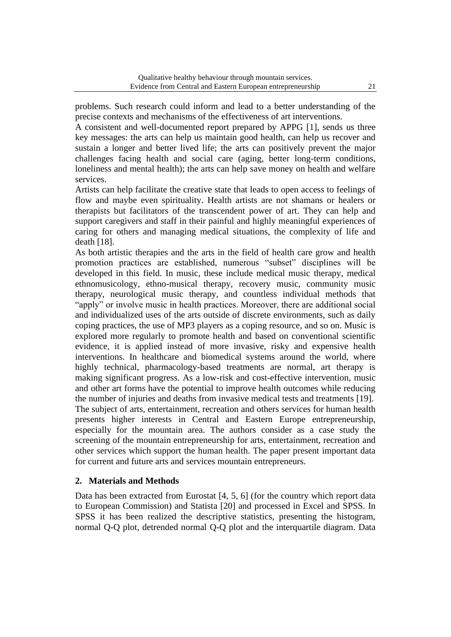problems. Such research could inform and lead to a better understanding of the precise contexts and mechanisms of the effectiveness of art interventions.

A consistent and well-documented report prepared by APPG [1], sends us three key messages: the arts can help us maintain good health, can help us recover and sustain a longer and better lived life; the arts can positively prevent the major challenges facing health and social care (aging, better long-term conditions, loneliness and mental health); the arts can help save money on health and welfare services.

Artists can help facilitate the creative state that leads to open access to feelings of flow and maybe even spirituality. Health artists are not shamans or healers or therapists but facilitators of the transcendent power of art. They can help and support caregivers and staff in their painful and highly meaningful experiences of caring for others and managing medical situations, the complexity of life and death [18].

As both artistic therapies and the arts in the field of health care grow and health promotion practices are established, numerous "subset" disciplines will be developed in this field. In music, these include medical music therapy, medical ethnomusicology, ethno-musical therapy, recovery music, community music therapy, neurological music therapy, and countless individual methods that "apply" or involve music in health practices. Moreover, there are additional social and individualized uses of the arts outside of discrete environments, such as daily coping practices, the use of MP3 players as a coping resource, and so on. Music is explored more regularly to promote health and based on conventional scientific evidence, it is applied instead of more invasive, risky and expensive health interventions. In healthcare and biomedical systems around the world, where highly technical, pharmacology-based treatments are normal, art therapy is making significant progress. As a low-risk and cost-effective intervention, music and other art forms have the potential to improve health outcomes while reducing the number of injuries and deaths from invasive medical tests and treatments [19]. The subject of arts, entertainment, recreation and others services for human health presents higher interests in Central and Eastern Europe entrepreneurship, especially for the mountain area. The authors consider as a case study the screening of the mountain entrepreneurship for arts, entertainment, recreation and other services which support the human health. The paper present important data for current and future arts and services mountain entrepreneurs.

### **2. Materials and Methods**

Data has been extracted from Eurostat [4, 5, 6] (for the country which report data to European Commission) and Statista [20] and processed in Excel and SPSS. In SPSS it has been realized the descriptive statistics, presenting the histogram, normal Q-Q plot, detrended normal Q-Q plot and the interquartile diagram. Data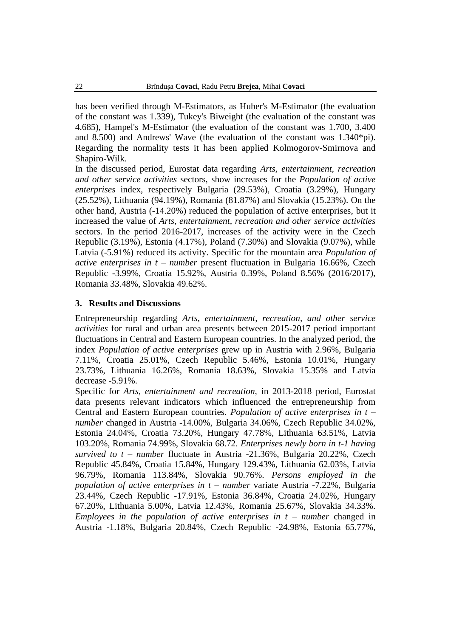has been verified through M-Estimators, as Huber's M-Estimator (the evaluation of the constant was 1.339), Tukey's Biweight (the evaluation of the constant was 4.685), Hampel's M-Estimator (the evaluation of the constant was 1.700, 3.400 and 8.500) and Andrews' Wave (the evaluation of the constant was 1.340\*pi). Regarding the normality tests it has been applied Kolmogorov-Smirnova and Shapiro-Wilk.

In the discussed period, Eurostat data regarding *Arts, entertainment, recreation and other service activities* sectors, show increases for the *Population of active enterprises* index, respectively Bulgaria (29.53%), Croatia (3.29%), Hungary (25.52%), Lithuania (94.19%), Romania (81.87%) and Slovakia (15.23%). On the other hand, Austria (-14.20%) reduced the population of active enterprises, but it increased the value of *Arts, entertainment, recreation and other service activities* sectors. In the period 2016-2017, increases of the activity were in the Czech Republic (3.19%), Estonia (4.17%), Poland (7.30%) and Slovakia (9.07%), while Latvia (-5.91%) reduced its activity. Specific for the mountain area *Population of active enterprises in t – number* present fluctuation in Bulgaria 16.66%, Czech Republic -3.99%, Croatia 15.92%, Austria 0.39%, Poland 8.56% (2016/2017), Romania 33.48%, Slovakia 49.62%.

#### **3. Results and Discussions**

Entrepreneurship regarding *Arts, entertainment, recreation, and other service activities* for rural and urban area presents between 2015-2017 period important fluctuations in Central and Eastern European countries. In the analyzed period, the index *Population of active enterprises* grew up in Austria with 2.96%, Bulgaria 7.11%, Croatia 25.01%, Czech Republic 5.46%, Estonia 10.01%, Hungary 23.73%, Lithuania 16.26%, Romania 18.63%, Slovakia 15.35% and Latvia decrease -5.91%.

Specific for *Arts, entertainment and recreation,* in 2013-2018 period, Eurostat data presents relevant indicators which influenced the entrepreneurship from Central and Eastern European countries. *Population of active enterprises in t – number* changed in Austria -14.00%, Bulgaria 34.06%, Czech Republic 34.02%, Estonia 24.04%, Croatia 73.20%, Hungary 47.78%, Lithuania 63.51%, Latvia 103.20%, Romania 74.99%, Slovakia 68.72. *Enterprises newly born in t-1 having survived to t – number* fluctuate in Austria -21.36%, Bulgaria 20.22%, Czech Republic 45.84%, Croatia 15.84%, Hungary 129.43%, Lithuania 62.03%, Latvia 96.79%, Romania 113.84%, Slovakia 90.76%. *Persons employed in the population of active enterprises in t – number* variate Austria -7.22%, Bulgaria 23.44%, Czech Republic -17.91%, Estonia 36.84%, Croatia 24.02%, Hungary 67.20%, Lithuania 5.00%, Latvia 12.43%, Romania 25.67%, Slovakia 34.33%. *Employees in the population of active enterprises in t – number* changed in Austria -1.18%, Bulgaria 20.84%, Czech Republic -24.98%, Estonia 65.77%,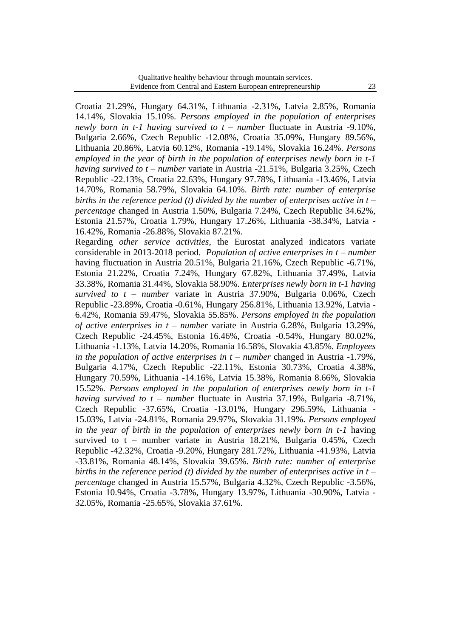Croatia 21.29%, Hungary 64.31%, Lithuania -2.31%, Latvia 2.85%, Romania 14.14%, Slovakia 15.10%. *Persons employed in the population of enterprises newly born in t-1 having survived to t – number* fluctuate in Austria -9.10%, Bulgaria 2.66%, Czech Republic -12.08%, Croatia 35.09%, Hungary 89.56%, Lithuania 20.86%, Latvia 60.12%, Romania -19.14%, Slovakia 16.24%. *Persons employed in the year of birth in the population of enterprises newly born in t-1 having survived to t – number* variate in Austria -21.51%, Bulgaria 3.25%, Czech Republic -22.13%, Croatia 22.63%, Hungary 97.78%, Lithuania -13.46%, Latvia 14.70%, Romania 58.79%, Slovakia 64.10%. *Birth rate: number of enterprise births in the reference period (t) divided by the number of enterprises active in t – percentage* changed in Austria 1.50%, Bulgaria 7.24%, Czech Republic 34.62%, Estonia 21.57%, Croatia 1.79%, Hungary 17.26%, Lithuania -38.34%, Latvia - 16.42%, Romania -26.88%, Slovakia 87.21%.

Regarding *other service activities*, the Eurostat analyzed indicators variate considerable in 2013-2018 period. *Population of active enterprises in t – number* having fluctuation in Austria 20.51%, Bulgaria 21.16%, Czech Republic -6.71%, Estonia 21.22%, Croatia 7.24%, Hungary 67.82%, Lithuania 37.49%, Latvia 33.38%, Romania 31.44%, Slovakia 58.90%. *Enterprises newly born in t-1 having survived to t – number* variate in Austria 37.90%, Bulgaria 0.06%, Czech Republic -23.89%, Croatia -0.61%, Hungary 256.81%, Lithuania 13.92%, Latvia - 6.42%, Romania 59.47%, Slovakia 55.85%. *Persons employed in the population of active enterprises in t – number* variate in Austria 6.28%, Bulgaria 13.29%, Czech Republic -24.45%, Estonia 16.46%, Croatia -0.54%, Hungary 80.02%, Lithuania -1.13%, Latvia 14.20%, Romania 16.58%, Slovakia 43.85%. *Employees in the population of active enterprises in t – number* changed in Austria -1.79%, Bulgaria 4.17%, Czech Republic -22.11%, Estonia 30.73%, Croatia 4.38%, Hungary 70.59%, Lithuania -14.16%, Latvia 15.38%, Romania 8.66%, Slovakia 15.52%. *Persons employed in the population of enterprises newly born in t-1 having survived to t – number* fluctuate in Austria 37.19%, Bulgaria -8.71%, Czech Republic -37.65%, Croatia -13.01%, Hungary 296.59%, Lithuania - 15.03%, Latvia -24.81%, Romania 29.97%, Slovakia 31.19%. *Persons employed in the year of birth in the population of enterprises newly born in t-1* having survived to t – number variate in Austria 18.21%, Bulgaria 0.45%, Czech Republic -42.32%, Croatia -9.20%, Hungary 281.72%, Lithuania -41.93%, Latvia -33.81%, Romania 48.14%, Slovakia 39.65%. *Birth rate: number of enterprise births in the reference period (t) divided by the number of enterprises active in t – percentage* changed in Austria 15.57%, Bulgaria 4.32%, Czech Republic -3.56%, Estonia 10.94%, Croatia -3.78%, Hungary 13.97%, Lithuania -30.90%, Latvia - 32.05%, Romania -25.65%, Slovakia 37.61%.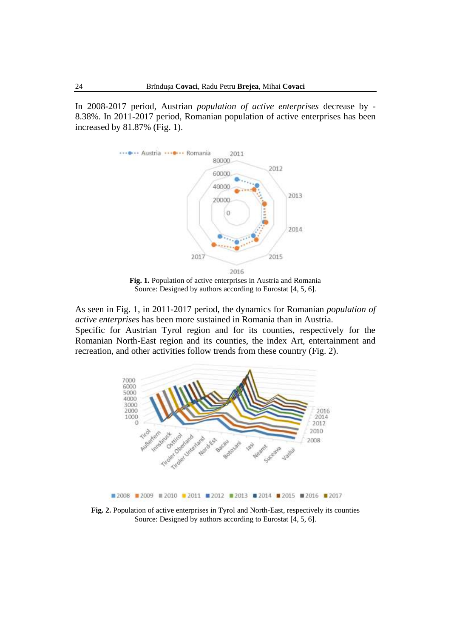In 2008-2017 period, Austrian *population of active enterprises* decrease by - 8.38%. In 2011-2017 period, Romanian population of active enterprises has been increased by 81.87% (Fig. 1).



**Fig. 1.** Population of active enterprises in Austria and Romania Source: Designed by authors according to Eurostat [4, 5, 6].

As seen in Fig. 1, in 2011-2017 period, the dynamics for Romanian *population of active enterprises* has been more sustained in Romania than in Austria. Specific for Austrian Tyrol region and for its counties, respectively for the Romanian North-East region and its counties, the index Art, entertainment and recreation, and other activities follow trends from these country (Fig. 2).



**Fig. 2.** Population of active enterprises in Tyrol and North-East, respectively its counties Source: Designed by authors according to Eurostat [4, 5, 6].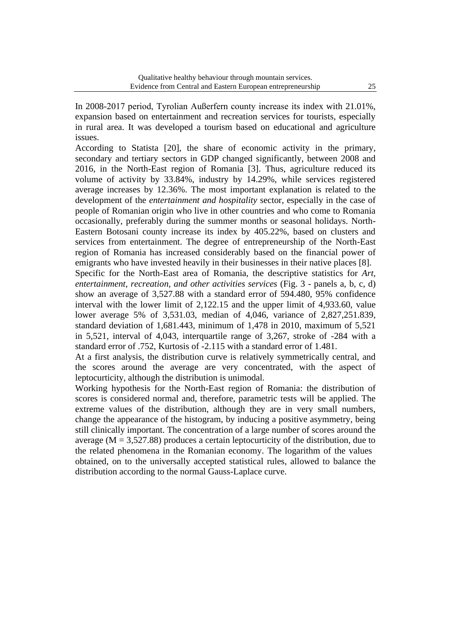In 2008-2017 period, Tyrolian Außerfern county increase its index with 21.01%, expansion based on entertainment and recreation services for tourists, especially in rural area. It was developed a tourism based on educational and agriculture issues.

According to Statista [20], the share of economic activity in the primary, secondary and tertiary sectors in GDP changed significantly, between 2008 and 2016, in the North-East region of Romania [3]. Thus, agriculture reduced its volume of activity by 33.84%, industry by 14.29%, while services registered average increases by 12.36%. The most important explanation is related to the development of the *entertainment and hospitality* sector, especially in the case of people of Romanian origin who live in other countries and who come to Romania occasionally, preferably during the summer months or seasonal holidays. North-Eastern Botosani county increase its index by 405.22%, based on clusters and services from entertainment. The degree of entrepreneurship of the North-East region of Romania has increased considerably based on the financial power of emigrants who have invested heavily in their businesses in their native places [8]. Specific for the North-East area of Romania, the descriptive statistics for *Art, entertainment, recreation, and other activities services* (Fig. 3 - panels a, b, c, d) show an average of 3,527.88 with a standard error of 594.480, 95% confidence interval with the lower limit of 2,122.15 and the upper limit of 4,933.60, value

lower average 5% of 3,531.03, median of 4,046, variance of 2,827,251.839, standard deviation of 1,681.443, minimum of 1,478 in 2010, maximum of 5,521 in 5,521, interval of 4,043, interquartile range of 3,267, stroke of -284 with a standard error of .752, Kurtosis of -2.115 with a standard error of 1.481.

At a first analysis, the distribution curve is relatively symmetrically central, and the scores around the average are very concentrated, with the aspect of leptocurticity, although the distribution is unimodal.

Working hypothesis for the North-East region of Romania: the distribution of scores is considered normal and, therefore, parametric tests will be applied. The extreme values of the distribution, although they are in very small numbers, change the appearance of the histogram, by inducing a positive asymmetry, being still clinically important. The concentration of a large number of scores around the average ( $M = 3,527.88$ ) produces a certain leptocurticity of the distribution, due to the related phenomena in the Romanian economy. The logarithm of the values obtained, on to the universally accepted statistical rules, allowed to balance the distribution according to the normal Gauss-Laplace curve.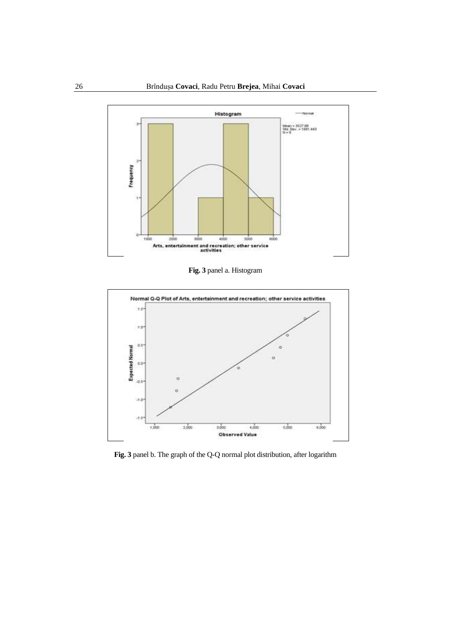

**Fig. 3** panel a. Histogram



**Fig. 3** panel b. The graph of the Q-Q normal plot distribution, after logarithm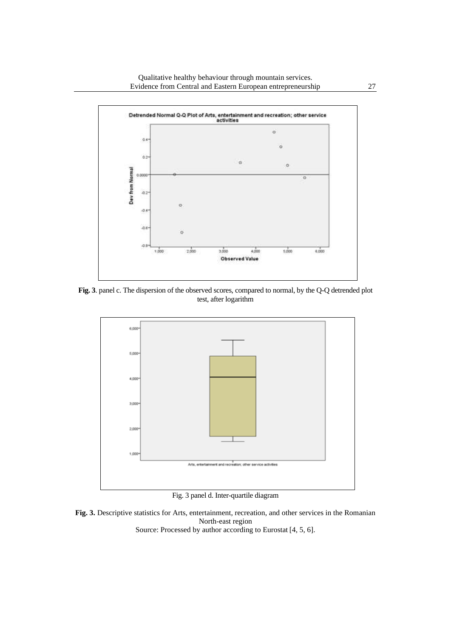

**Fig. 3**. panel c. The dispersion of the observed scores, compared to normal, by the Q-Q detrended plot test, after logarithm



Fig. 3 panel d. Inter-quartile diagram

**Fig. 3.** Descriptive statistics for Arts, entertainment, recreation, and other services in the Romanian North-east region Source: Processed by author according to Eurostat [4, 5, 6].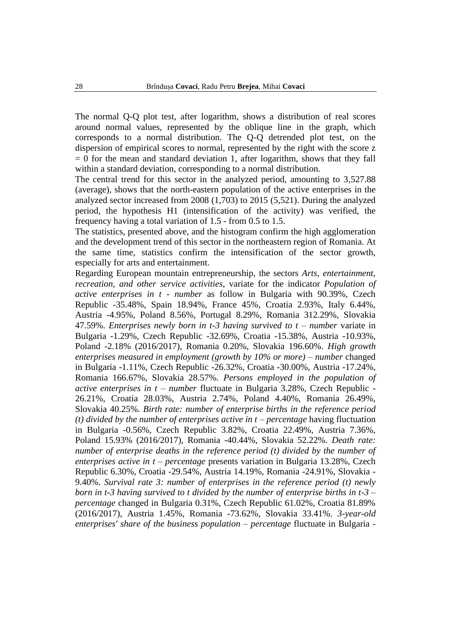The normal Q-Q plot test, after logarithm, shows a distribution of real scores around normal values, represented by the oblique line in the graph, which corresponds to a normal distribution. The Q-Q detrended plot test, on the dispersion of empirical scores to normal, represented by the right with the score z  $= 0$  for the mean and standard deviation 1, after logarithm, shows that they fall within a standard deviation, corresponding to a normal distribution.

The central trend for this sector in the analyzed period, amounting to 3,527.88 (average), shows that the north-eastern population of the active enterprises in the analyzed sector increased from 2008 (1,703) to 2015 (5,521). During the analyzed period, the hypothesis H1 (intensification of the activity) was verified, the frequency having a total variation of 1.5 - from 0.5 to 1.5.

The statistics, presented above, and the histogram confirm the high agglomeration and the development trend of this sector in the northeastern region of Romania. At the same time, statistics confirm the intensification of the sector growth, especially for arts and entertainment.

Regarding European mountain entrepreneurship, the sectors *Arts, entertainment, recreation, and other service activities*, variate for the indicator *Population of active enterprises in t - number* as follow in Bulgaria with 90.39%, Czech Republic -35.48%, Spain 18.94%, France 45%, Croatia 2.93%, Italy 6.44%, Austria -4.95%, Poland 8.56%, Portugal 8.29%, Romania 312.29%, Slovakia 47.59%. *Enterprises newly born in t-3 having survived to t – number* variate in Bulgaria -1.29%, Czech Republic -32.69%, Croatia -15.38%, Austria -10.93%, Poland -2.18% (2016/2017), Romania 0.20%, Slovakia 196.60%. *High growth enterprises measured in employment (growth by 10% or more) – number* changed in Bulgaria -1.11%, Czech Republic -26.32%, Croatia -30.00%, Austria -17.24%, Romania 166.67%, Slovakia 28.57%. *Persons employed in the population of active enterprises in t – number* fluctuate in Bulgaria 3.28%, Czech Republic - 26.21%, Croatia 28.03%, Austria 2.74%, Poland 4.40%, Romania 26.49%, Slovakia 40.25%. *Birth rate: number of enterprise births in the reference period (t) divided by the number of enterprises active in t – percentage* having fluctuation in Bulgaria -0.56%, Czech Republic 3.82%, Croatia 22.49%, Austria 7.36%, Poland 15.93% (2016/2017), Romania -40.44%, Slovakia 52.22%. *Death rate: number of enterprise deaths in the reference period (t) divided by the number of enterprises active in t – percentage* presents variation in Bulgaria 13.28%, Czech Republic 6.30%, Croatia -29.54%, Austria 14.19%, Romania -24.91%, Slovakia - 9.40%. *Survival rate 3: number of enterprises in the reference period (t) newly born in t-3 having survived to t divided by the number of enterprise births in t-3 – percentage* changed in Bulgaria 0.31%, Czech Republic 61.02%, Croatia 81.89% (2016/2017), Austria 1.45%, Romania -73.62%, Slovakia 33.41%. *3-year-old enterprises' share of the business population – percentage* fluctuate in Bulgaria -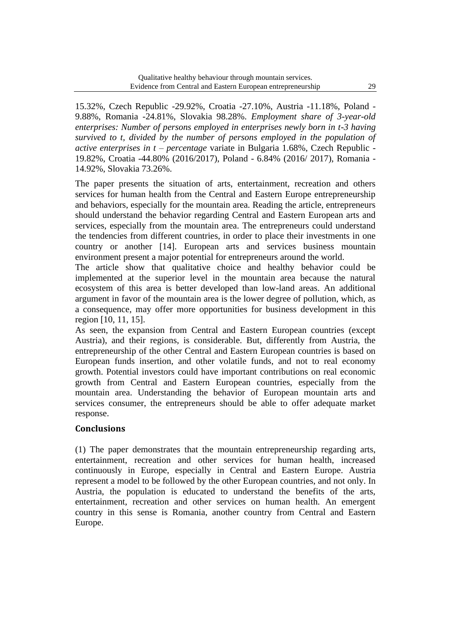15.32%, Czech Republic -29.92%, Croatia -27.10%, Austria -11.18%, Poland - 9.88%, Romania -24.81%, Slovakia 98.28%. *Employment share of 3-year-old enterprises: Number of persons employed in enterprises newly born in t-3 having survived to t, divided by the number of persons employed in the population of active enterprises in t – percentage* variate in Bulgaria 1.68%, Czech Republic - 19.82%, Croatia -44.80% (2016/2017), Poland - 6.84% (2016/ 2017), Romania - 14.92%, Slovakia 73.26%.

The paper presents the situation of arts, entertainment, recreation and others services for human health from the Central and Eastern Europe entrepreneurship and behaviors, especially for the mountain area. Reading the article, entrepreneurs should understand the behavior regarding Central and Eastern European arts and services, especially from the mountain area. The entrepreneurs could understand the tendencies from different countries, in order to place their investments in one country or another [14]. European arts and services business mountain environment present a major potential for entrepreneurs around the world.

The article show that qualitative choice and healthy behavior could be implemented at the superior level in the mountain area because the natural ecosystem of this area is better developed than low-land areas. An additional argument in favor of the mountain area is the lower degree of pollution, which, as a consequence, may offer more opportunities for business development in this region [10, 11, 15].

As seen, the expansion from Central and Eastern European countries (except Austria), and their regions, is considerable. But, differently from Austria, the entrepreneurship of the other Central and Eastern European countries is based on European funds insertion, and other volatile funds, and not to real economy growth. Potential investors could have important contributions on real economic growth from Central and Eastern European countries, especially from the mountain area. Understanding the behavior of European mountain arts and services consumer, the entrepreneurs should be able to offer adequate market response.

## **Conclusions**

(1) The paper demonstrates that the mountain entrepreneurship regarding arts, entertainment, recreation and other services for human health, increased continuously in Europe, especially in Central and Eastern Europe. Austria represent a model to be followed by the other European countries, and not only. In Austria, the population is educated to understand the benefits of the arts, entertainment, recreation and other services on human health. An emergent country in this sense is Romania, another country from Central and Eastern Europe.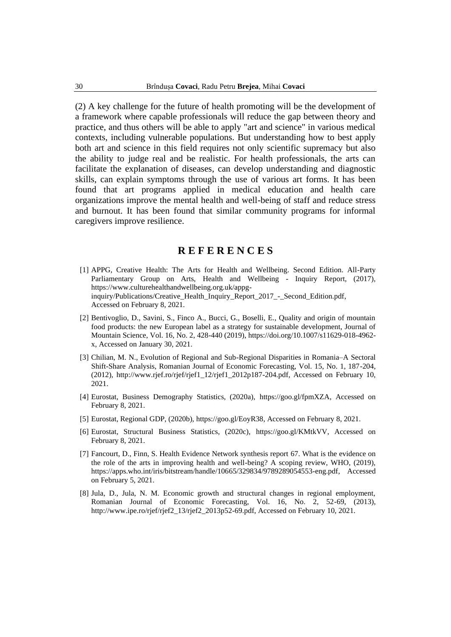(2) A key challenge for the future of health promoting will be the development of a framework where capable professionals will reduce the gap between theory and practice, and thus others will be able to apply "art and science" in various medical contexts, including vulnerable populations. But understanding how to best apply both art and science in this field requires not only scientific supremacy but also the ability to judge real and be realistic. For health professionals, the arts can facilitate the explanation of diseases, can develop understanding and diagnostic skills, can explain symptoms through the use of various art forms. It has been found that art programs applied in medical education and health care organizations improve the mental health and well-being of staff and reduce stress and burnout. It has been found that similar community programs for informal caregivers improve resilience.

## **R E F E R E N C E S**

- [1] APPG, Creative Health: The Arts for Health and Wellbeing. Second Edition. All-Party Parliamentary Group on Arts, Health and Wellbeing - Inquiry Report, (2017), [https://www.culturehealthandwellbeing.org.uk/appg](https://www.culturehealthandwellbeing.org.uk/appg-inquiry/Publications/Creative_Health_Inquiry_Report_2017_-_Second_Edition.pdf)[inquiry/Publications/Creative\\_Health\\_Inquiry\\_Report\\_2017\\_-\\_Second\\_Edition.pdf,](https://www.culturehealthandwellbeing.org.uk/appg-inquiry/Publications/Creative_Health_Inquiry_Report_2017_-_Second_Edition.pdf) Accessed on February 8, 2021.
- [2] Bentivoglio, D., Savini, S., Finco A., Bucci, G., Boselli, E., Quality and origin of mountain food products: the new European label as a strategy for sustainable development, Journal of Mountain Science, Vol. 16, No. 2, 428-440 (2019), [https://doi.org/10.1007/s11629-018-4962](https://doi.org/10.1007/s11629-018-4962-x) [x,](https://doi.org/10.1007/s11629-018-4962-x) Accessed on January 30, 2021.
- [3] Chilian, M. N., Evolution of Regional and Sub-Regional Disparities in Romania–A Sectoral Shift-Share Analysis, Romanian Journal of Economic Forecasting, Vol. 15, No. 1, 187-204, (2012), [http://www.rjef.ro/rjef/rjef1\\_12/rjef1\\_2012p187-204.pdf,](http://www.rjef.ro/rjef/rjef1_12/rjef1_2012p187-204.pdf) Accessed on February 10, 2021.
- [4] Eurostat, Business Demography Statistics, (2020a), [https://goo.gl/fpmXZA,](https://goo.gl/fpmXZA) Accessed on February 8, 2021.
- [5] Eurostat, Regional GDP, (2020b), [https://goo.gl/EoyR38,](https://goo.gl/EoyR38) Accessed on February 8, 2021.
- [6] Eurostat, Structural Business Statistics, (2020c), [https://goo.gl/KMtkVV,](https://goo.gl/KMtkVV) Accessed on February 8, 2021.
- [7] Fancourt, D., Finn, S. Health Evidence Network synthesis report 67. What is the evidence on the role of the arts in improving health and well-being? A scoping review, WHO, (2019), [https://apps.who.int/iris/bitstream/handle/10665/329834/9789289054553-eng.pdf,](https://apps.who.int/iris/bitstream/handle/10665/329834/9789289054553-eng.pdf) Accessed on February 5, 2021.
- [8] Jula, D., Jula, N. M. Economic growth and structural changes in regional employment, Romanian Journal of Economic Forecasting, Vol. 16, No. 2, 52-69, (2013), [http://www.ipe.ro/rjef/rjef2\\_13/rjef2\\_2013p52-69.pdf,](http://www.ipe.ro/rjef/rjef2_13/rjef2_2013p52-69.pdf) Accessed on February 10, 2021.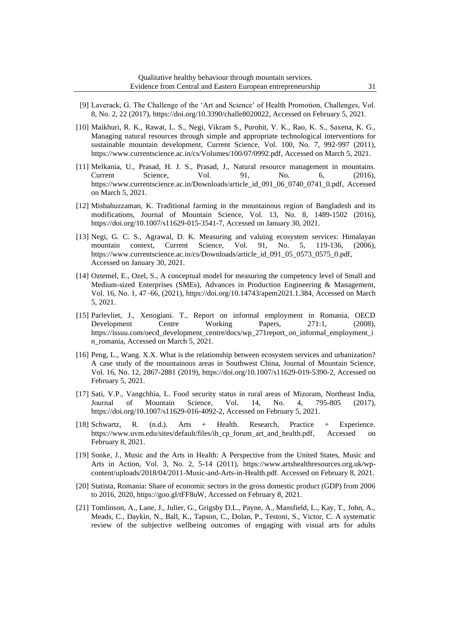- [9] Laverack, G. The Challenge of the 'Art and Science' of Health Promotion, Challenges, Vol. 8, No. 2, 22 (2017), [https://doi.org/10.3390/challe8020022,](https://doi.org/10.3390/challe8020022) Accessed on February 5, 2021.
- [10] Maikhuri, R. K., Rawat, L. S., Negi, Vikram S., Purohit, V. K., Rao, K. S., Saxena, K. G., Managing natural resources through simple and appropriate technological interventions for sustainable mountain development, Current Science, Vol. 100, No. 7, 992-997 (2011), [https://www.currentscience.ac.in/cs/Volumes/100/07/0992.pdf,](https://www.currentscience.ac.in/cs/Volumes/100/07/0992.pdf) Accessed on March 5, 2021.
- [11] Melkania, U., Prasad, H. J. S., Prasad, J., Natural resource management in mountains. Current Science, Vol. 91, No. 6, (2016), [https://www.currentscience.ac.in/Downloads/article\\_id\\_091\\_06\\_0740\\_0741\\_0.pdf,](https://www.currentscience.ac.in/Downloads/article_id_091_06_0740_0741_0.pdf) Accessed on March 5, 2021.
- [12] Misbahuzzaman, K. Traditional farming in the mountainous region of Bangladesh and its modifications, Journal of Mountain Science, Vol. 13, No. 8, 1489-1502 (2016), [https://doi.org/10.1007/s11629-015-3541-7,](https://doi.org/10.1007/s11629-015-3541-7) Accessed on January 30, 2021.
- [13] Negi, G. C. S., Agrawal, D. K. Measuring and valuing ecosystem services: Himalayan mountain context, Current Science, Vol. 91, No. 5, 119-136, (2006), [https://www.currentscience.ac.in/cs/Downloads/article\\_id\\_091\\_05\\_0573\\_0575\\_0.pdf,](https://www.currentscience.ac.in/cs/Downloads/article_id_091_05_0573_0575_0.pdf) Accessed on January 30, 2021.
- [14] Oztemel, E., Ozel, S., A conceptual model for measuring the competency level of Small and Medium-sized Enterprises (SMEs), Advances in Production Engineering & Management, Vol. 16, No. 1, 47–66, (2021), [https://doi.org/10.14743/apem2021.1.384,](https://doi.org/10.14743/apem2021.1.384) Accessed on March 5, 2021.
- [15] Parlevliet, J., Xenogiani. T., Report on informal employment in Romania, OECD Development Centre Working Papers, 271:1, (2008), [https://issuu.com/oecd\\_development\\_centre/docs/wp\\_271report\\_on\\_informal\\_employment\\_i](https://issuu.com/oecd_development_centre/docs/wp_271report_on_informal_employment_in_romania) [n\\_romania,](https://issuu.com/oecd_development_centre/docs/wp_271report_on_informal_employment_in_romania) Accessed on March 5, 2021.
- [16] Peng, L., Wang. X.X. What is the relationship between ecosystem services and urbanization? A case study of the mountainous areas in Southwest China, Journal of Mountain Science, Vol. 16, No. 12, 2867-2881 (2019), [https://doi.org/10.1007/s11629-019-5390-2,](https://doi.org/10.1007/s11629-019-5390-2) Accessed on February 5, 2021.
- [17] Sati, V.P., Vangchhia, L. Food security status in rural areas of Mizoram, Northeast India, Journal of Mountain Science, Vol. 14, No. 4, 795-805 (2017), [https://doi.org/10.1007/s11629-016-4092-2,](https://doi.org/10.1007/s11629-016-4092-2) Accessed on February 5, 2021.
- [18] Schwartz, R. (n.d.). Arts + Health. Research, Practice + Experience. [https://www.uvm.edu/sites/default/files/ih\\_cp\\_forum\\_art\\_and\\_health.pdf,](https://www.uvm.edu/sites/default/files/ih_cp_forum_art_and_health.pdf) Accessed on February 8, 2021.
- [19] Sonke, J., Music and the Arts in Health: A Perspective from the United States, Music and Arts in Action, Vol. 3, No. 2, 5-14 (2011), [https://www.artshealthresources.org.uk/wp](https://www.artshealthresources.org.uk/wp-content/uploads/2018/04/2011-Music-and-Arts-in-Health.pdf)[content/uploads/2018/04/2011-Music-and-Arts-in-Health.pdf.](https://www.artshealthresources.org.uk/wp-content/uploads/2018/04/2011-Music-and-Arts-in-Health.pdf) Accessed on February 8, 2021.
- [20] Statista, Romania: Share of economic sectors in the gross domestic product (GDP) from 2006 to 2016, 2020, [https://goo.gl/tFF8uW,](https://goo.gl/tFF8uW) Accessed on February 8, 2021.
- [21] Tomlinson, A., Lane, J., Julier, G., Grigsby D.L., Payne, A., Mansfield, L., Kay, T., John, A., Meads, C., Daykin, N., Ball, K., Tapson, C., Dolan, P., Testoni, S., Victor, C. A systematic review of the subjective wellbeing outcomes of engaging with visual arts for adults